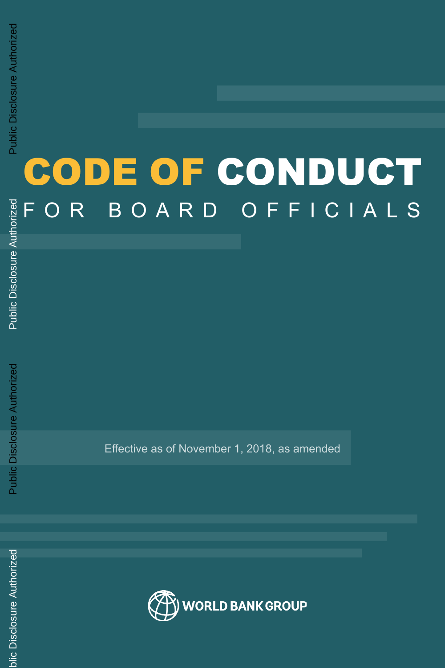# CODE OF CONDUCT FOR BOARD OFFICIALS

Public Disclosure Authorized Public Disclosure Authorized

Effective as of November 1, 2018, as amended

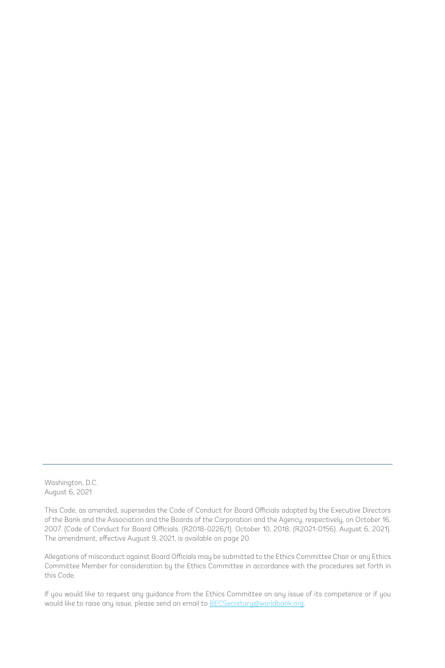Washington, D.C. August 6, 2021

This Code, as amended, supersedes the Code of Conduct for Board Officials adopted by the Executive Directors of the Bank and the Association and the Boards of the Corporation and the Agency, respectively, on October 16, 2007. (Code of Conduct for Board Officials. (R2018-0226/1). October 10, 2018; (R2021-0156). August 6, 2021). The amendment, effective August 9, 2021, is available on page 20.

Allegations of misconduct against Board Officials may be submitted to the Ethics Committee Chair or any Ethics Committee Member for consideration by the Ethics Committee in accordance with the procedures set forth in this Code.

If you would like to request any guidance from the Ethics Committee on any issue of its competence or if you would like to raise any issue, please send an email to BECSecretary@worldbank.org.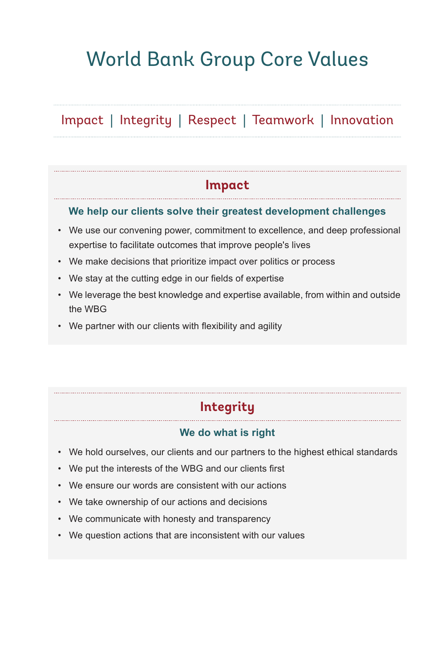# World Bank Group Core Values

# Impact | Integrity | Respect | Teamwork | Innovation

# **Impact**

#### **We help our clients solve their greatest development challenges**

- We use our convening power, commitment to excellence, and deep professional expertise to facilitate outcomes that improve people's lives
- We make decisions that prioritize impact over politics or process
- We stay at the cutting edge in our fields of expertise
- We leverage the best knowledge and expertise available, from within and outside the WBG
- We partner with our clients with flexibility and agility

#### **Integrity**

#### **We do what is right**

- We hold ourselves, our clients and our partners to the highest ethical standards
- We put the interests of the WBG and our clients first
- We ensure our words are consistent with our actions
- We take ownership of our actions and decisions
- We communicate with honesty and transparency
- We question actions that are inconsistent with our values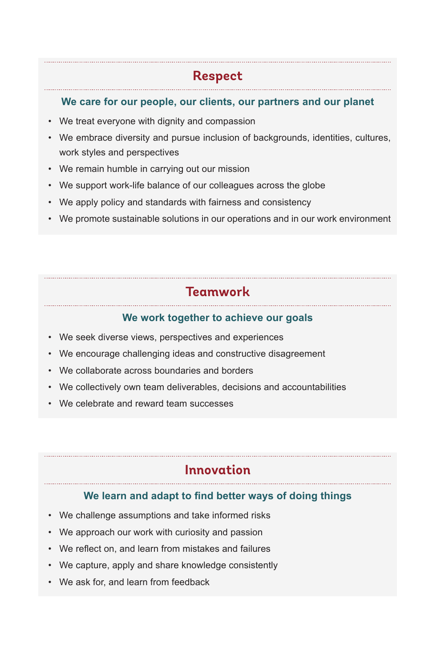# **Respect**

#### **We care for our people, our clients, our partners and our planet**

- We treat everyone with dignity and compassion
- We embrace diversity and pursue inclusion of backgrounds, identities, cultures, work styles and perspectives
- We remain humble in carrying out our mission
- We support work-life balance of our colleagues across the globe
- We apply policy and standards with fairness and consistency
- We promote sustainable solutions in our operations and in our work environment

# **Teamwork**

#### **We work together to achieve our goals**

- We seek diverse views, perspectives and experiences
- We encourage challenging ideas and constructive disagreement
- We collaborate across boundaries and borders
- We collectively own team deliverables, decisions and accountabilities
- We celebrate and reward team successes

# **Innovation**

#### **We learn and adapt to find better ways of doing things**

- We challenge assumptions and take informed risks
- We approach our work with curiosity and passion
- We reflect on, and learn from mistakes and failures
- We capture, apply and share knowledge consistently
- We ask for, and learn from feedback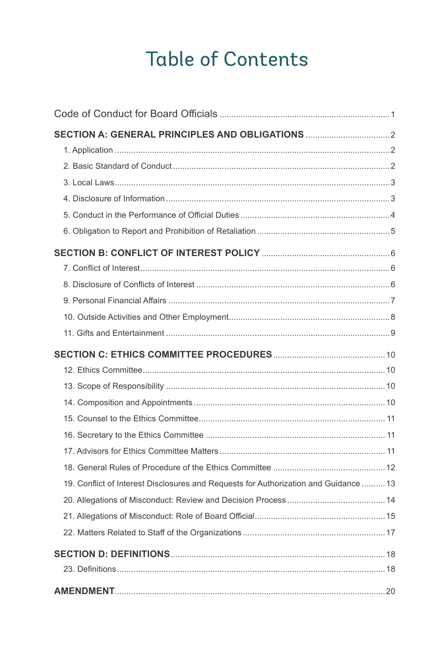# **Table of Contents**

| 19. Conflict of Interest Disclosures and Requests for Authorization and Guidance  13 |  |
|--------------------------------------------------------------------------------------|--|
|                                                                                      |  |
|                                                                                      |  |
|                                                                                      |  |
|                                                                                      |  |
|                                                                                      |  |
|                                                                                      |  |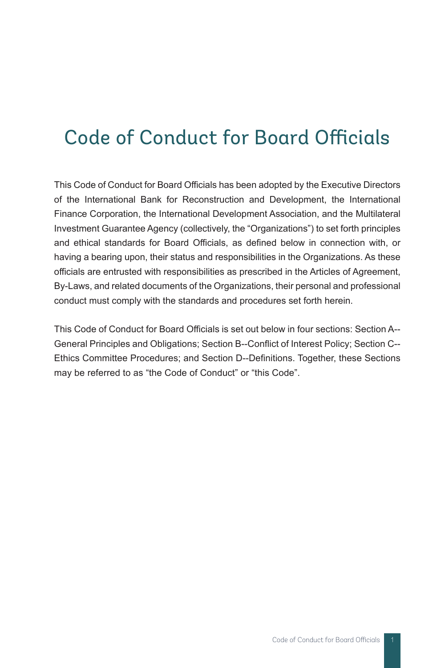# Code of Conduct for Board Officials

This Code of Conduct for Board Officials has been adopted by the Executive Directors of the International Bank for Reconstruction and Development, the International Finance Corporation, the International Development Association, and the Multilateral Investment Guarantee Agency (collectively, the "Organizations") to set forth principles and ethical standards for Board Officials, as defined below in connection with, or having a bearing upon, their status and responsibilities in the Organizations. As these officials are entrusted with responsibilities as prescribed in the Articles of Agreement, By-Laws, and related documents of the Organizations, their personal and professional conduct must comply with the standards and procedures set forth herein.

This Code of Conduct for Board Officials is set out below in four sections: Section A-- General Principles and Obligations; Section B--Conflict of Interest Policy; Section C-- Ethics Committee Procedures; and Section D--Definitions. Together, these Sections may be referred to as "the Code of Conduct" or "this Code".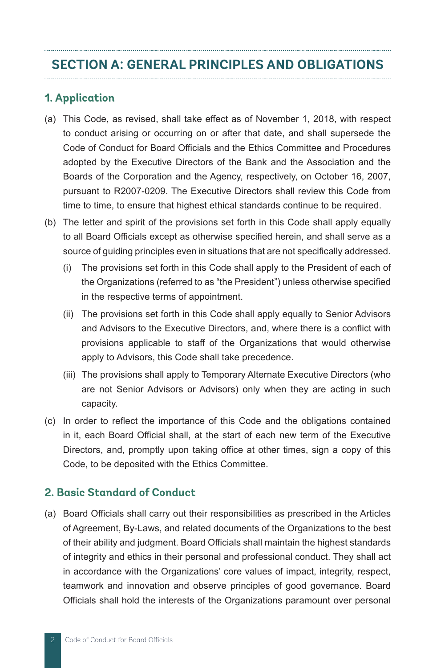### **SECTION A: GENERAL PRINCIPLES AND OBLIGATIONS**

### **1. Application**

- (a) This Code, as revised, shall take effect as of November 1, 2018, with respect to conduct arising or occurring on or after that date, and shall supersede the Code of Conduct for Board Officials and the Ethics Committee and Procedures adopted by the Executive Directors of the Bank and the Association and the Boards of the Corporation and the Agency, respectively, on October 16, 2007, pursuant to R2007-0209. The Executive Directors shall review this Code from time to time, to ensure that highest ethical standards continue to be required.
- (b) The letter and spirit of the provisions set forth in this Code shall apply equally to all Board Officials except as otherwise specified herein, and shall serve as a source of guiding principles even in situations that are not specifically addressed.
	- (i) The provisions set forth in this Code shall apply to the President of each of the Organizations (referred to as "the President") unless otherwise specified in the respective terms of appointment.
	- (ii) The provisions set forth in this Code shall apply equally to Senior Advisors and Advisors to the Executive Directors, and, where there is a conflict with provisions applicable to staff of the Organizations that would otherwise apply to Advisors, this Code shall take precedence.
	- (iii) The provisions shall apply to Temporary Alternate Executive Directors (who are not Senior Advisors or Advisors) only when they are acting in such capacity.
- (c) In order to reflect the importance of this Code and the obligations contained in it, each Board Official shall, at the start of each new term of the Executive Directors, and, promptly upon taking office at other times, sign a copy of this Code, to be deposited with the Ethics Committee.

#### **2. Basic Standard of Conduct**

(a) Board Officials shall carry out their responsibilities as prescribed in the Articles of Agreement, By-Laws, and related documents of the Organizations to the best of their ability and judgment. Board Officials shall maintain the highest standards of integrity and ethics in their personal and professional conduct. They shall act in accordance with the Organizations' core values of impact, integrity, respect, teamwork and innovation and observe principles of good governance. Board Officials shall hold the interests of the Organizations paramount over personal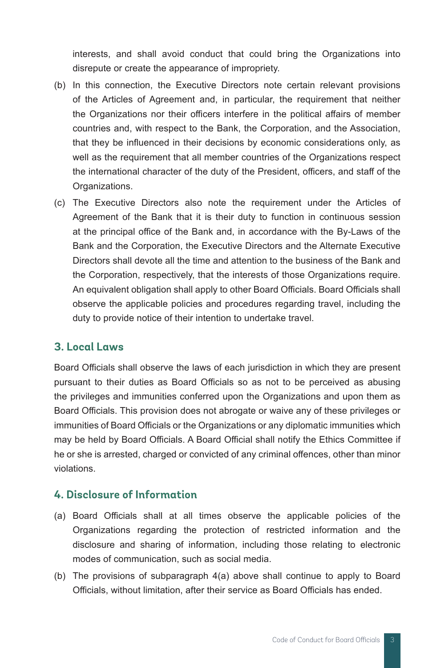interests, and shall avoid conduct that could bring the Organizations into disrepute or create the appearance of impropriety.

- (b) In this connection, the Executive Directors note certain relevant provisions of the Articles of Agreement and, in particular, the requirement that neither the Organizations nor their officers interfere in the political affairs of member countries and, with respect to the Bank, the Corporation, and the Association, that they be influenced in their decisions by economic considerations only, as well as the requirement that all member countries of the Organizations respect the international character of the duty of the President, officers, and staff of the Organizations.
- (c) The Executive Directors also note the requirement under the Articles of Agreement of the Bank that it is their duty to function in continuous session at the principal office of the Bank and, in accordance with the By-Laws of the Bank and the Corporation, the Executive Directors and the Alternate Executive Directors shall devote all the time and attention to the business of the Bank and the Corporation, respectively, that the interests of those Organizations require. An equivalent obligation shall apply to other Board Officials. Board Officials shall observe the applicable policies and procedures regarding travel, including the duty to provide notice of their intention to undertake travel.

#### **3. Local Laws**

Board Officials shall observe the laws of each jurisdiction in which they are present pursuant to their duties as Board Officials so as not to be perceived as abusing the privileges and immunities conferred upon the Organizations and upon them as Board Officials. This provision does not abrogate or waive any of these privileges or immunities of Board Officials or the Organizations or any diplomatic immunities which may be held by Board Officials. A Board Official shall notify the Ethics Committee if he or she is arrested, charged or convicted of any criminal offences, other than minor violations.

#### **4. Disclosure of Information**

- (a) Board Officials shall at all times observe the applicable policies of the Organizations regarding the protection of restricted information and the disclosure and sharing of information, including those relating to electronic modes of communication, such as social media.
- (b) The provisions of subparagraph 4(a) above shall continue to apply to Board Officials, without limitation, after their service as Board Officials has ended.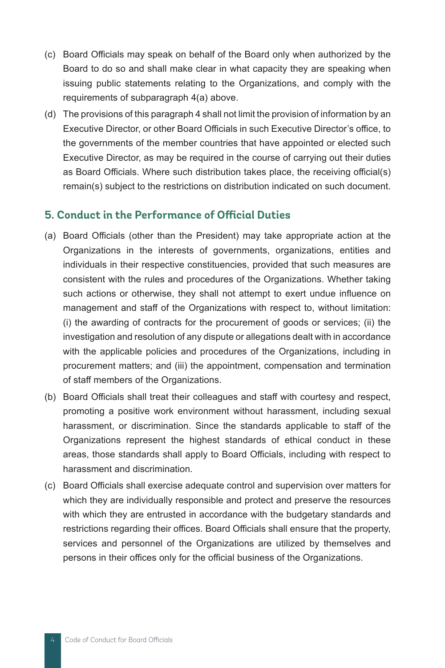- (c) Board Officials may speak on behalf of the Board only when authorized by the Board to do so and shall make clear in what capacity they are speaking when issuing public statements relating to the Organizations, and comply with the requirements of subparagraph 4(a) above.
- (d) The provisions of this paragraph 4 shall not limit the provision of information by an Executive Director, or other Board Officials in such Executive Director's office, to the governments of the member countries that have appointed or elected such Executive Director, as may be required in the course of carrying out their duties as Board Officials. Where such distribution takes place, the receiving official(s) remain(s) subject to the restrictions on distribution indicated on such document.

#### **5. Conduct in the Performance of Official Duties**

- (a) Board Officials (other than the President) may take appropriate action at the Organizations in the interests of governments, organizations, entities and individuals in their respective constituencies, provided that such measures are consistent with the rules and procedures of the Organizations. Whether taking such actions or otherwise, they shall not attempt to exert undue influence on management and staff of the Organizations with respect to, without limitation: (i) the awarding of contracts for the procurement of goods or services; (ii) the investigation and resolution of any dispute or allegations dealt with in accordance with the applicable policies and procedures of the Organizations, including in procurement matters; and (iii) the appointment, compensation and termination of staff members of the Organizations.
- (b) Board Officials shall treat their colleagues and staff with courtesy and respect, promoting a positive work environment without harassment, including sexual harassment, or discrimination. Since the standards applicable to staff of the Organizations represent the highest standards of ethical conduct in these areas, those standards shall apply to Board Officials, including with respect to harassment and discrimination.
- (c) Board Officials shall exercise adequate control and supervision over matters for which they are individually responsible and protect and preserve the resources with which they are entrusted in accordance with the budgetary standards and restrictions regarding their offices. Board Officials shall ensure that the property, services and personnel of the Organizations are utilized by themselves and persons in their offices only for the official business of the Organizations.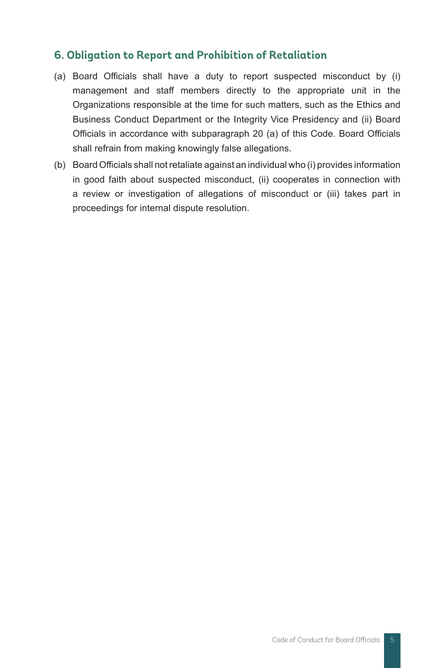#### **6. Obligation to Report and Prohibition of Retaliation**

- (a) Board Officials shall have a duty to report suspected misconduct by (i) management and staff members directly to the appropriate unit in the Organizations responsible at the time for such matters, such as the Ethics and Business Conduct Department or the Integrity Vice Presidency and (ii) Board Officials in accordance with subparagraph 20 (a) of this Code. Board Officials shall refrain from making knowingly false allegations.
- (b) Board Officials shall not retaliate against an individual who (i) provides information in good faith about suspected misconduct, (ii) cooperates in connection with a review or investigation of allegations of misconduct or (iii) takes part in proceedings for internal dispute resolution.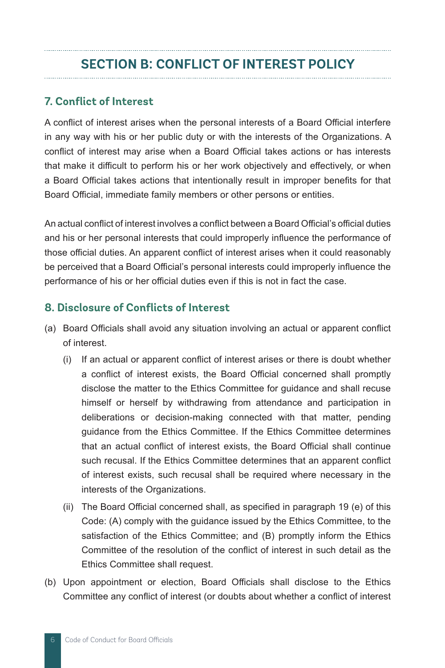# **SECTION B: CONFLICT OF INTEREST POLICY**

#### **7. Conflict of Interest**

A conflict of interest arises when the personal interests of a Board Official interfere in any way with his or her public duty or with the interests of the Organizations. A conflict of interest may arise when a Board Official takes actions or has interests that make it difficult to perform his or her work objectively and effectively, or when a Board Official takes actions that intentionally result in improper benefits for that Board Official, immediate family members or other persons or entities.

An actual conflict of interest involves a conflict between a Board Official's official duties and his or her personal interests that could improperly influence the performance of those official duties. An apparent conflict of interest arises when it could reasonably be perceived that a Board Official's personal interests could improperly influence the performance of his or her official duties even if this is not in fact the case.

#### **8. Disclosure of Conflicts of Interest**

- (a) Board Officials shall avoid any situation involving an actual or apparent conflict of interest.
	- (i) If an actual or apparent conflict of interest arises or there is doubt whether a conflict of interest exists, the Board Official concerned shall promptly disclose the matter to the Ethics Committee for guidance and shall recuse himself or herself by withdrawing from attendance and participation in deliberations or decision-making connected with that matter, pending guidance from the Ethics Committee. If the Ethics Committee determines that an actual conflict of interest exists, the Board Official shall continue such recusal. If the Ethics Committee determines that an apparent conflict of interest exists, such recusal shall be required where necessary in the interests of the Organizations.
	- (ii) The Board Official concerned shall, as specified in paragraph 19 (e) of this Code: (A) comply with the guidance issued by the Ethics Committee, to the satisfaction of the Ethics Committee; and (B) promptly inform the Ethics Committee of the resolution of the conflict of interest in such detail as the Ethics Committee shall request.
- (b) Upon appointment or election, Board Officials shall disclose to the Ethics Committee any conflict of interest (or doubts about whether a conflict of interest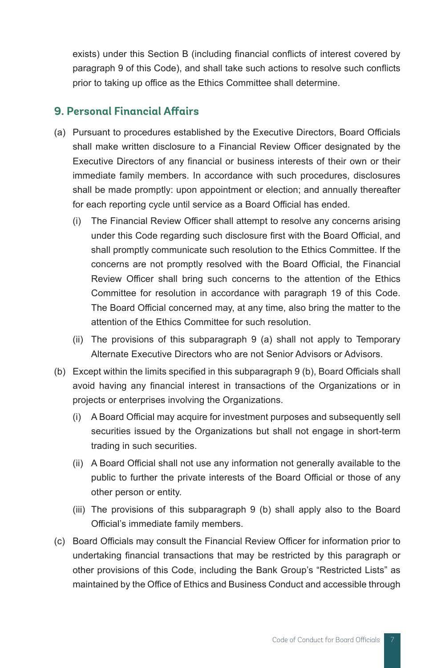exists) under this Section B (including financial conflicts of interest covered by paragraph 9 of this Code), and shall take such actions to resolve such conflicts prior to taking up office as the Ethics Committee shall determine.

#### **9. Personal Financial Affairs**

- (a) Pursuant to procedures established by the Executive Directors, Board Officials shall make written disclosure to a Financial Review Officer designated by the Executive Directors of any financial or business interests of their own or their immediate family members. In accordance with such procedures, disclosures shall be made promptly: upon appointment or election; and annually thereafter for each reporting cycle until service as a Board Official has ended.
	- (i) The Financial Review Officer shall attempt to resolve any concerns arising under this Code regarding such disclosure first with the Board Official, and shall promptly communicate such resolution to the Ethics Committee. If the concerns are not promptly resolved with the Board Official, the Financial Review Officer shall bring such concerns to the attention of the Ethics Committee for resolution in accordance with paragraph 19 of this Code. The Board Official concerned may, at any time, also bring the matter to the attention of the Ethics Committee for such resolution.
	- (ii) The provisions of this subparagraph 9 (a) shall not apply to Temporary Alternate Executive Directors who are not Senior Advisors or Advisors.
- (b) Except within the limits specified in this subparagraph 9 (b), Board Officials shall avoid having any financial interest in transactions of the Organizations or in projects or enterprises involving the Organizations.
	- (i) A Board Official may acquire for investment purposes and subsequently sell securities issued by the Organizations but shall not engage in short-term trading in such securities.
	- (ii) A Board Official shall not use any information not generally available to the public to further the private interests of the Board Official or those of any other person or entity.
	- (iii) The provisions of this subparagraph 9 (b) shall apply also to the Board Official's immediate family members.
- (c) Board Officials may consult the Financial Review Officer for information prior to undertaking financial transactions that may be restricted by this paragraph or other provisions of this Code, including the Bank Group's "Restricted Lists" as maintained by the Office of Ethics and Business Conduct and accessible through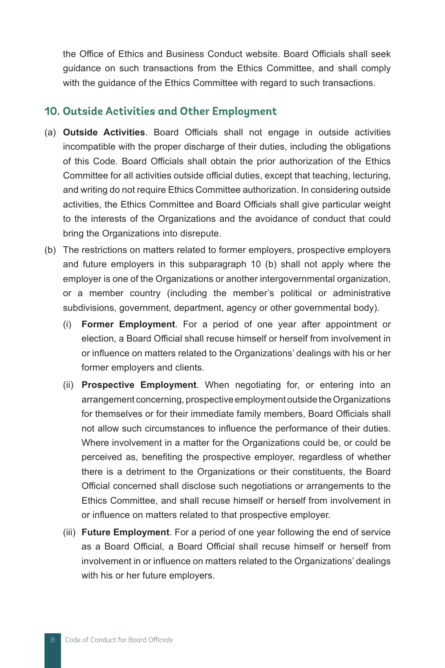the Office of Ethics and Business Conduct website. Board Officials shall seek guidance on such transactions from the Ethics Committee, and shall comply with the guidance of the Ethics Committee with regard to such transactions.

#### **10. Outside Activities and Other Employment**

- (a) **Outside Activities**. Board Officials shall not engage in outside activities incompatible with the proper discharge of their duties, including the obligations of this Code. Board Officials shall obtain the prior authorization of the Ethics Committee for all activities outside official duties, except that teaching, lecturing, and writing do not require Ethics Committee authorization. In considering outside activities, the Ethics Committee and Board Officials shall give particular weight to the interests of the Organizations and the avoidance of conduct that could bring the Organizations into disrepute.
- (b) The restrictions on matters related to former employers, prospective employers and future employers in this subparagraph 10 (b) shall not apply where the employer is one of the Organizations or another intergovernmental organization, or a member country (including the member's political or administrative subdivisions, government, department, agency or other governmental body).
	- (i) **Former Employment**. For a period of one year after appointment or election, a Board Official shall recuse himself or herself from involvement in or influence on matters related to the Organizations' dealings with his or her former employers and clients.
	- (ii) **Prospective Employment**. When negotiating for, or entering into an arrangement concerning, prospective employment outside the Organizations for themselves or for their immediate family members, Board Officials shall not allow such circumstances to influence the performance of their duties. Where involvement in a matter for the Organizations could be, or could be perceived as, benefiting the prospective employer, regardless of whether there is a detriment to the Organizations or their constituents, the Board Official concerned shall disclose such negotiations or arrangements to the Ethics Committee, and shall recuse himself or herself from involvement in or influence on matters related to that prospective employer.
	- (iii) **Future Employment**. For a period of one year following the end of service as a Board Official, a Board Official shall recuse himself or herself from involvement in or influence on matters related to the Organizations' dealings with his or her future employers.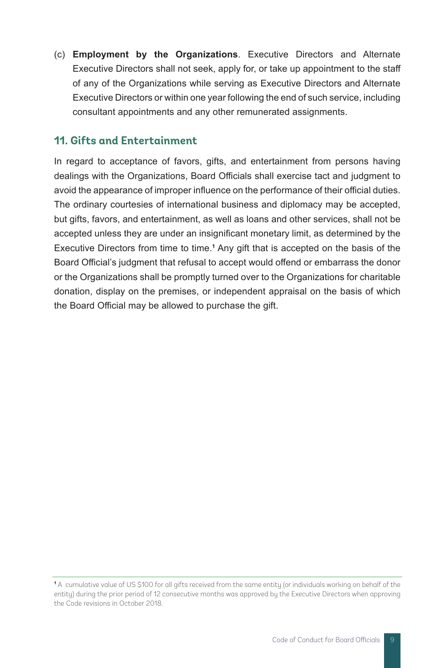(c) **Employment by the Organizations**. Executive Directors and Alternate Executive Directors shall not seek, apply for, or take up appointment to the staff of any of the Organizations while serving as Executive Directors and Alternate Executive Directors or within one year following the end of such service, including consultant appointments and any other remunerated assignments.

#### **11. Gifts and Entertainment**

In regard to acceptance of favors, gifts, and entertainment from persons having dealings with the Organizations, Board Officials shall exercise tact and judgment to avoid the appearance of improper influence on the performance of their official duties. The ordinary courtesies of international business and diplomacy may be accepted, but gifts, favors, and entertainment, as well as loans and other services, shall not be accepted unless they are under an insignificant monetary limit, as determined by the Executive Directors from time to time.**<sup>1</sup>** Any gift that is accepted on the basis of the Board Official's judgment that refusal to accept would offend or embarrass the donor or the Organizations shall be promptly turned over to the Organizations for charitable donation, display on the premises, or independent appraisal on the basis of which the Board Official may be allowed to purchase the gift.

**<sup>1</sup>** A cumulative value of US \$100 for all gifts received from the same entity (or individuals working on behalf of the entity) during the prior period of 12 consecutive months was approved by the Executive Directors when approving the Code revisions in October 2018.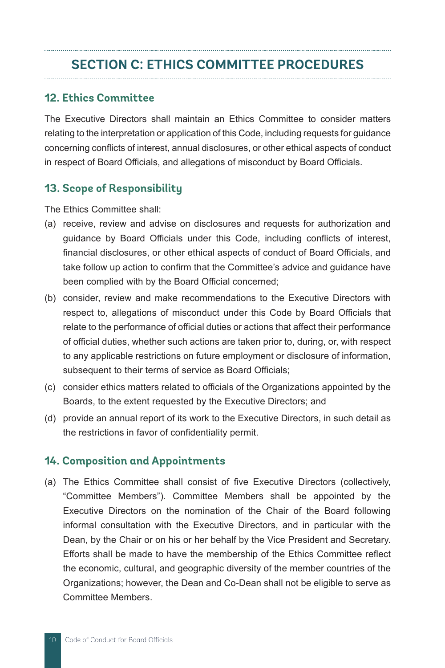# **SECTION C: ETHICS COMMITTEE PROCEDURES**

#### **12. Ethics Committee**

The Executive Directors shall maintain an Ethics Committee to consider matters relating to the interpretation or application of this Code, including requests for guidance concerning conflicts of interest, annual disclosures, or other ethical aspects of conduct in respect of Board Officials, and allegations of misconduct by Board Officials.

#### **13. Scope of Responsibility**

The Ethics Committee shall:

- (a) receive, review and advise on disclosures and requests for authorization and guidance by Board Officials under this Code, including conflicts of interest, financial disclosures, or other ethical aspects of conduct of Board Officials, and take follow up action to confirm that the Committee's advice and guidance have been complied with by the Board Official concerned;
- (b) consider, review and make recommendations to the Executive Directors with respect to, allegations of misconduct under this Code by Board Officials that relate to the performance of official duties or actions that affect their performance of official duties, whether such actions are taken prior to, during, or, with respect to any applicable restrictions on future employment or disclosure of information, subsequent to their terms of service as Board Officials;
- (c) consider ethics matters related to officials of the Organizations appointed by the Boards, to the extent requested by the Executive Directors; and
- (d) provide an annual report of its work to the Executive Directors, in such detail as the restrictions in favor of confidentiality permit.

#### **14. Composition and Appointments**

(a) The Ethics Committee shall consist of five Executive Directors (collectively, "Committee Members"). Committee Members shall be appointed by the Executive Directors on the nomination of the Chair of the Board following informal consultation with the Executive Directors, and in particular with the Dean, by the Chair or on his or her behalf by the Vice President and Secretary. Efforts shall be made to have the membership of the Ethics Committee reflect the economic, cultural, and geographic diversity of the member countries of the Organizations; however, the Dean and Co-Dean shall not be eligible to serve as Committee Members.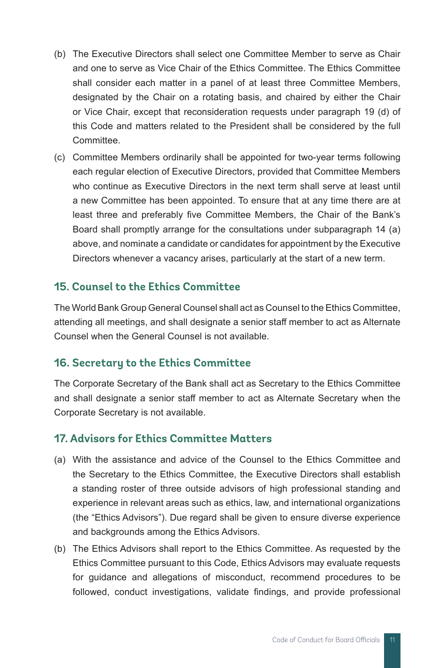- (b) The Executive Directors shall select one Committee Member to serve as Chair and one to serve as Vice Chair of the Ethics Committee. The Ethics Committee shall consider each matter in a panel of at least three Committee Members, designated by the Chair on a rotating basis, and chaired by either the Chair or Vice Chair, except that reconsideration requests under paragraph 19 (d) of this Code and matters related to the President shall be considered by the full Committee.
- (c) Committee Members ordinarily shall be appointed for two-year terms following each regular election of Executive Directors, provided that Committee Members who continue as Executive Directors in the next term shall serve at least until a new Committee has been appointed. To ensure that at any time there are at least three and preferably five Committee Members, the Chair of the Bank's Board shall promptly arrange for the consultations under subparagraph 14 (a) above, and nominate a candidate or candidates for appointment by the Executive Directors whenever a vacancy arises, particularly at the start of a new term.

#### **15. Counsel to the Ethics Committee**

The World Bank Group General Counsel shall act as Counsel to the Ethics Committee, attending all meetings, and shall designate a senior staff member to act as Alternate Counsel when the General Counsel is not available.

#### **16. Secretary to the Ethics Committee**

The Corporate Secretary of the Bank shall act as Secretary to the Ethics Committee and shall designate a senior staff member to act as Alternate Secretary when the Corporate Secretary is not available.

#### **17. Advisors for Ethics Committee Matters**

- (a) With the assistance and advice of the Counsel to the Ethics Committee and the Secretary to the Ethics Committee, the Executive Directors shall establish a standing roster of three outside advisors of high professional standing and experience in relevant areas such as ethics, law, and international organizations (the "Ethics Advisors"). Due regard shall be given to ensure diverse experience and backgrounds among the Ethics Advisors.
- (b) The Ethics Advisors shall report to the Ethics Committee. As requested by the Ethics Committee pursuant to this Code, Ethics Advisors may evaluate requests for guidance and allegations of misconduct, recommend procedures to be followed, conduct investigations, validate findings, and provide professional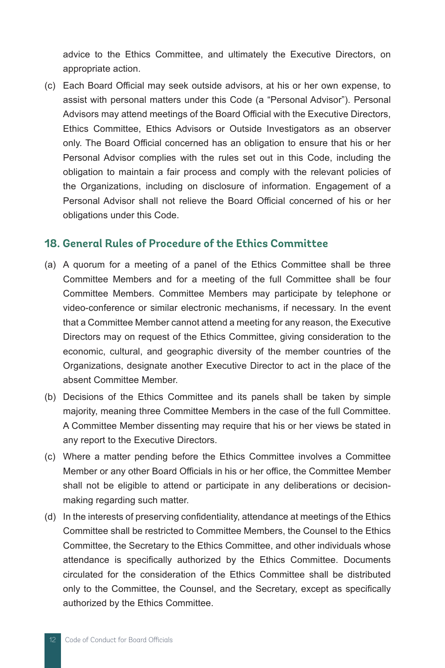advice to the Ethics Committee, and ultimately the Executive Directors, on appropriate action.

(c) Each Board Official may seek outside advisors, at his or her own expense, to assist with personal matters under this Code (a "Personal Advisor"). Personal Advisors may attend meetings of the Board Official with the Executive Directors, Ethics Committee, Ethics Advisors or Outside Investigators as an observer only. The Board Official concerned has an obligation to ensure that his or her Personal Advisor complies with the rules set out in this Code, including the obligation to maintain a fair process and comply with the relevant policies of the Organizations, including on disclosure of information. Engagement of a Personal Advisor shall not relieve the Board Official concerned of his or her obligations under this Code.

#### **18. General Rules of Procedure of the Ethics Committee**

- (a) A quorum for a meeting of a panel of the Ethics Committee shall be three Committee Members and for a meeting of the full Committee shall be four Committee Members. Committee Members may participate by telephone or video-conference or similar electronic mechanisms, if necessary. In the event that a Committee Member cannot attend a meeting for any reason, the Executive Directors may on request of the Ethics Committee, giving consideration to the economic, cultural, and geographic diversity of the member countries of the Organizations, designate another Executive Director to act in the place of the absent Committee Member.
- (b) Decisions of the Ethics Committee and its panels shall be taken by simple majority, meaning three Committee Members in the case of the full Committee. A Committee Member dissenting may require that his or her views be stated in any report to the Executive Directors.
- (c) Where a matter pending before the Ethics Committee involves a Committee Member or any other Board Officials in his or her office, the Committee Member shall not be eligible to attend or participate in any deliberations or decisionmaking regarding such matter.
- (d) In the interests of preserving confidentiality, attendance at meetings of the Ethics Committee shall be restricted to Committee Members, the Counsel to the Ethics Committee, the Secretary to the Ethics Committee, and other individuals whose attendance is specifically authorized by the Ethics Committee. Documents circulated for the consideration of the Ethics Committee shall be distributed only to the Committee, the Counsel, and the Secretary, except as specifically authorized by the Ethics Committee.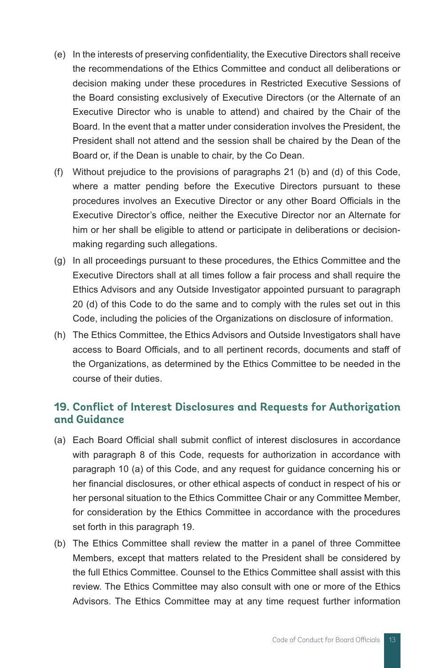- (e) In the interests of preserving confidentiality, the Executive Directors shall receive the recommendations of the Ethics Committee and conduct all deliberations or decision making under these procedures in Restricted Executive Sessions of the Board consisting exclusively of Executive Directors (or the Alternate of an Executive Director who is unable to attend) and chaired by the Chair of the Board. In the event that a matter under consideration involves the President, the President shall not attend and the session shall be chaired by the Dean of the Board or, if the Dean is unable to chair, by the Co Dean.
- (f) Without prejudice to the provisions of paragraphs 21 (b) and (d) of this Code, where a matter pending before the Executive Directors pursuant to these procedures involves an Executive Director or any other Board Officials in the Executive Director's office, neither the Executive Director nor an Alternate for him or her shall be eligible to attend or participate in deliberations or decisionmaking regarding such allegations.
- (g) In all proceedings pursuant to these procedures, the Ethics Committee and the Executive Directors shall at all times follow a fair process and shall require the Ethics Advisors and any Outside Investigator appointed pursuant to paragraph 20 (d) of this Code to do the same and to comply with the rules set out in this Code, including the policies of the Organizations on disclosure of information.
- (h) The Ethics Committee, the Ethics Advisors and Outside Investigators shall have access to Board Officials, and to all pertinent records, documents and staff of the Organizations, as determined by the Ethics Committee to be needed in the course of their duties.

#### **19. Conflict of Interest Disclosures and Requests for Authorization and Guidance**

- (a) Each Board Official shall submit conflict of interest disclosures in accordance with paragraph 8 of this Code, requests for authorization in accordance with paragraph 10 (a) of this Code, and any request for guidance concerning his or her financial disclosures, or other ethical aspects of conduct in respect of his or her personal situation to the Ethics Committee Chair or any Committee Member, for consideration by the Ethics Committee in accordance with the procedures set forth in this paragraph 19.
- (b) The Ethics Committee shall review the matter in a panel of three Committee Members, except that matters related to the President shall be considered by the full Ethics Committee. Counsel to the Ethics Committee shall assist with this review. The Ethics Committee may also consult with one or more of the Ethics Advisors. The Ethics Committee may at any time request further information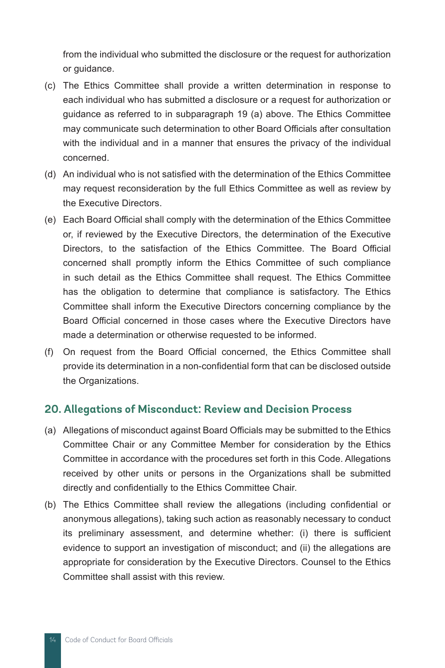from the individual who submitted the disclosure or the request for authorization or guidance.

- (c) The Ethics Committee shall provide a written determination in response to each individual who has submitted a disclosure or a request for authorization or guidance as referred to in subparagraph 19 (a) above. The Ethics Committee may communicate such determination to other Board Officials after consultation with the individual and in a manner that ensures the privacy of the individual concerned.
- (d) An individual who is not satisfied with the determination of the Ethics Committee may request reconsideration by the full Ethics Committee as well as review by the Executive Directors.
- (e) Each Board Official shall comply with the determination of the Ethics Committee or, if reviewed by the Executive Directors, the determination of the Executive Directors, to the satisfaction of the Ethics Committee. The Board Official concerned shall promptly inform the Ethics Committee of such compliance in such detail as the Ethics Committee shall request. The Ethics Committee has the obligation to determine that compliance is satisfactory. The Ethics Committee shall inform the Executive Directors concerning compliance by the Board Official concerned in those cases where the Executive Directors have made a determination or otherwise requested to be informed.
- (f) On request from the Board Official concerned, the Ethics Committee shall provide its determination in a non-confidential form that can be disclosed outside the Organizations.

#### **20. Allegations of Misconduct: Review and Decision Process**

- (a) Allegations of misconduct against Board Officials may be submitted to the Ethics Committee Chair or any Committee Member for consideration by the Ethics Committee in accordance with the procedures set forth in this Code. Allegations received by other units or persons in the Organizations shall be submitted directly and confidentially to the Ethics Committee Chair.
- (b) The Ethics Committee shall review the allegations (including confidential or anonymous allegations), taking such action as reasonably necessary to conduct its preliminary assessment, and determine whether: (i) there is sufficient evidence to support an investigation of misconduct; and (ii) the allegations are appropriate for consideration by the Executive Directors. Counsel to the Ethics Committee shall assist with this review.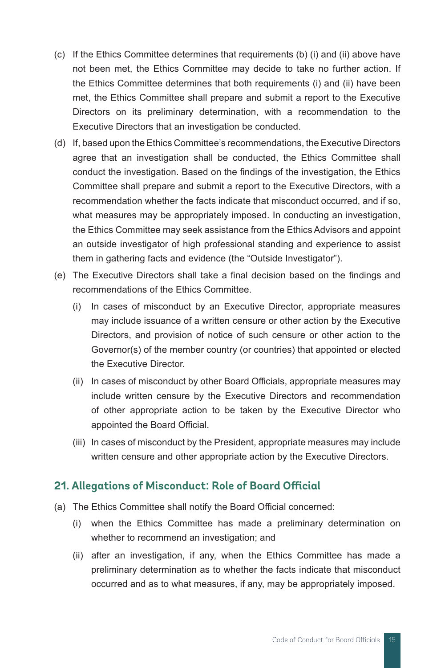- (c) If the Ethics Committee determines that requirements (b) (i) and (ii) above have not been met, the Ethics Committee may decide to take no further action. If the Ethics Committee determines that both requirements (i) and (ii) have been met, the Ethics Committee shall prepare and submit a report to the Executive Directors on its preliminary determination, with a recommendation to the Executive Directors that an investigation be conducted.
- (d) If, based upon the Ethics Committee's recommendations, the Executive Directors agree that an investigation shall be conducted, the Ethics Committee shall conduct the investigation. Based on the findings of the investigation, the Ethics Committee shall prepare and submit a report to the Executive Directors, with a recommendation whether the facts indicate that misconduct occurred, and if so, what measures may be appropriately imposed. In conducting an investigation, the Ethics Committee may seek assistance from the Ethics Advisors and appoint an outside investigator of high professional standing and experience to assist them in gathering facts and evidence (the "Outside Investigator").
- (e) The Executive Directors shall take a final decision based on the findings and recommendations of the Ethics Committee.
	- (i) In cases of misconduct by an Executive Director, appropriate measures may include issuance of a written censure or other action by the Executive Directors, and provision of notice of such censure or other action to the Governor(s) of the member country (or countries) that appointed or elected the Executive Director.
	- (ii) In cases of misconduct by other Board Officials, appropriate measures may include written censure by the Executive Directors and recommendation of other appropriate action to be taken by the Executive Director who appointed the Board Official.
	- (iii) In cases of misconduct by the President, appropriate measures may include written censure and other appropriate action by the Executive Directors.

#### **21. Allegations of Misconduct: Role of Board Official**

- (a) The Ethics Committee shall notify the Board Official concerned:
	- (i) when the Ethics Committee has made a preliminary determination on whether to recommend an investigation; and
	- (ii) after an investigation, if any, when the Ethics Committee has made a preliminary determination as to whether the facts indicate that misconduct occurred and as to what measures, if any, may be appropriately imposed.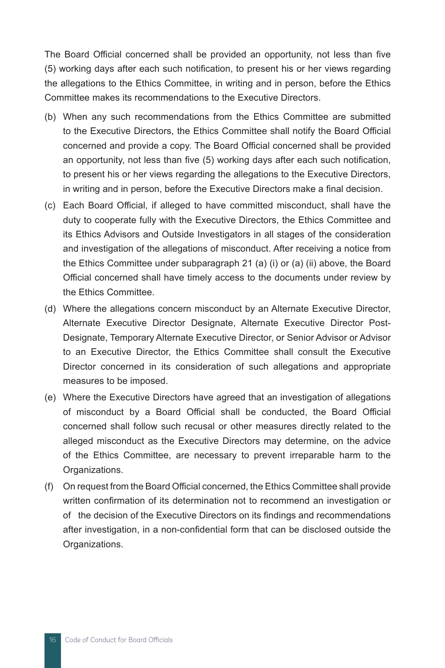The Board Official concerned shall be provided an opportunity, not less than five (5) working days after each such notification, to present his or her views regarding the allegations to the Ethics Committee, in writing and in person, before the Ethics Committee makes its recommendations to the Executive Directors.

- (b) When any such recommendations from the Ethics Committee are submitted to the Executive Directors, the Ethics Committee shall notify the Board Official concerned and provide a copy. The Board Official concerned shall be provided an opportunity, not less than five (5) working days after each such notification, to present his or her views regarding the allegations to the Executive Directors, in writing and in person, before the Executive Directors make a final decision.
- (c) Each Board Official, if alleged to have committed misconduct, shall have the duty to cooperate fully with the Executive Directors, the Ethics Committee and its Ethics Advisors and Outside Investigators in all stages of the consideration and investigation of the allegations of misconduct. After receiving a notice from the Ethics Committee under subparagraph 21 (a) (i) or (a) (ii) above, the Board Official concerned shall have timely access to the documents under review by the Ethics Committee.
- (d) Where the allegations concern misconduct by an Alternate Executive Director, Alternate Executive Director Designate, Alternate Executive Director Post-Designate, Temporary Alternate Executive Director, or Senior Advisor or Advisor to an Executive Director, the Ethics Committee shall consult the Executive Director concerned in its consideration of such allegations and appropriate measures to be imposed.
- (e) Where the Executive Directors have agreed that an investigation of allegations of misconduct by a Board Official shall be conducted, the Board Official concerned shall follow such recusal or other measures directly related to the alleged misconduct as the Executive Directors may determine, on the advice of the Ethics Committee, are necessary to prevent irreparable harm to the Organizations.
- (f) On request from the Board Official concerned, the Ethics Committee shall provide written confirmation of its determination not to recommend an investigation or of the decision of the Executive Directors on its findings and recommendations after investigation, in a non-confidential form that can be disclosed outside the Organizations.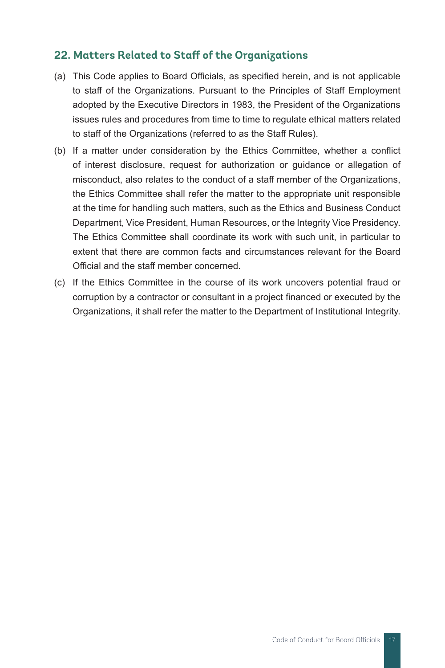#### **22. Matters Related to Staff of the Organizations**

- (a) This Code applies to Board Officials, as specified herein, and is not applicable to staff of the Organizations. Pursuant to the Principles of Staff Employment adopted by the Executive Directors in 1983, the President of the Organizations issues rules and procedures from time to time to regulate ethical matters related to staff of the Organizations (referred to as the Staff Rules).
- (b) If a matter under consideration by the Ethics Committee, whether a conflict of interest disclosure, request for authorization or guidance or allegation of misconduct, also relates to the conduct of a staff member of the Organizations, the Ethics Committee shall refer the matter to the appropriate unit responsible at the time for handling such matters, such as the Ethics and Business Conduct Department, Vice President, Human Resources, or the Integrity Vice Presidency. The Ethics Committee shall coordinate its work with such unit, in particular to extent that there are common facts and circumstances relevant for the Board Official and the staff member concerned.
- (c) If the Ethics Committee in the course of its work uncovers potential fraud or corruption by a contractor or consultant in a project financed or executed by the Organizations, it shall refer the matter to the Department of Institutional Integrity.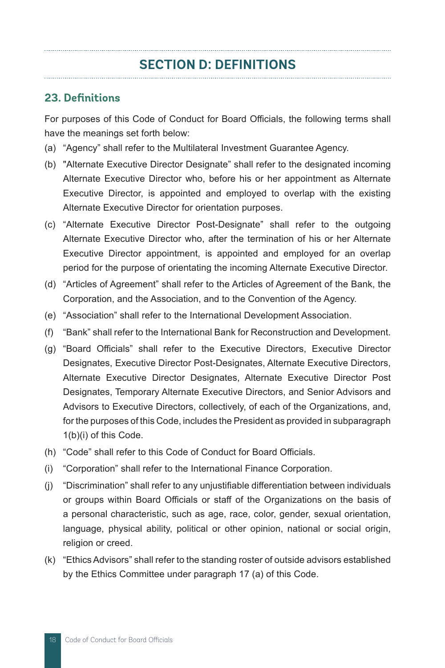## **SECTION D: DEFINITIONS**

#### **23. Definitions**

For purposes of this Code of Conduct for Board Officials, the following terms shall have the meanings set forth below:

- (a) "Agency" shall refer to the Multilateral Investment Guarantee Agency.
- (b) "Alternate Executive Director Designate" shall refer to the designated incoming Alternate Executive Director who, before his or her appointment as Alternate Executive Director, is appointed and employed to overlap with the existing Alternate Executive Director for orientation purposes.
- (c) "Alternate Executive Director Post-Designate" shall refer to the outgoing Alternate Executive Director who, after the termination of his or her Alternate Executive Director appointment, is appointed and employed for an overlap period for the purpose of orientating the incoming Alternate Executive Director.
- (d) "Articles of Agreement" shall refer to the Articles of Agreement of the Bank, the Corporation, and the Association, and to the Convention of the Agency.
- (e) "Association" shall refer to the International Development Association.
- (f) "Bank" shall refer to the International Bank for Reconstruction and Development.
- (g) "Board Officials" shall refer to the Executive Directors, Executive Director Designates, Executive Director Post-Designates, Alternate Executive Directors, Alternate Executive Director Designates, Alternate Executive Director Post Designates, Temporary Alternate Executive Directors, and Senior Advisors and Advisors to Executive Directors, collectively, of each of the Organizations, and, for the purposes of this Code, includes the President as provided in subparagraph 1(b)(i) of this Code.
- (h) "Code" shall refer to this Code of Conduct for Board Officials.
- (i) "Corporation" shall refer to the International Finance Corporation.
- (j) "Discrimination" shall refer to any unjustifiable differentiation between individuals or groups within Board Officials or staff of the Organizations on the basis of a personal characteristic, such as age, race, color, gender, sexual orientation, language, physical ability, political or other opinion, national or social origin, religion or creed.
- (k) "Ethics Advisors" shall refer to the standing roster of outside advisors established by the Ethics Committee under paragraph 17 (a) of this Code.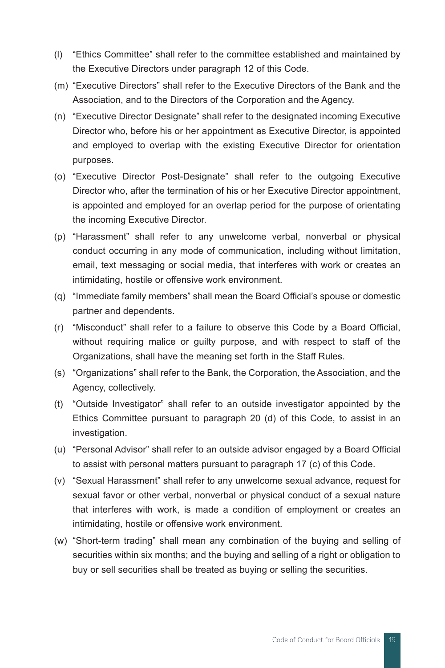- (l) "Ethics Committee" shall refer to the committee established and maintained by the Executive Directors under paragraph 12 of this Code.
- (m) "Executive Directors" shall refer to the Executive Directors of the Bank and the Association, and to the Directors of the Corporation and the Agency.
- (n) "Executive Director Designate" shall refer to the designated incoming Executive Director who, before his or her appointment as Executive Director, is appointed and employed to overlap with the existing Executive Director for orientation purposes.
- (o) "Executive Director Post-Designate" shall refer to the outgoing Executive Director who, after the termination of his or her Executive Director appointment, is appointed and employed for an overlap period for the purpose of orientating the incoming Executive Director.
- (p) "Harassment" shall refer to any unwelcome verbal, nonverbal or physical conduct occurring in any mode of communication, including without limitation, email, text messaging or social media, that interferes with work or creates an intimidating, hostile or offensive work environment.
- (q) "Immediate family members" shall mean the Board Official's spouse or domestic partner and dependents.
- (r) "Misconduct" shall refer to a failure to observe this Code by a Board Official, without requiring malice or guilty purpose, and with respect to staff of the Organizations, shall have the meaning set forth in the Staff Rules.
- (s) "Organizations" shall refer to the Bank, the Corporation, the Association, and the Agency, collectively.
- (t) "Outside Investigator" shall refer to an outside investigator appointed by the Ethics Committee pursuant to paragraph 20 (d) of this Code, to assist in an investigation.
- (u) "Personal Advisor" shall refer to an outside advisor engaged by a Board Official to assist with personal matters pursuant to paragraph 17 (c) of this Code.
- (v) "Sexual Harassment" shall refer to any unwelcome sexual advance, request for sexual favor or other verbal, nonverbal or physical conduct of a sexual nature that interferes with work, is made a condition of employment or creates an intimidating, hostile or offensive work environment.
- (w) "Short-term trading" shall mean any combination of the buying and selling of securities within six months; and the buying and selling of a right or obligation to buy or sell securities shall be treated as buying or selling the securities.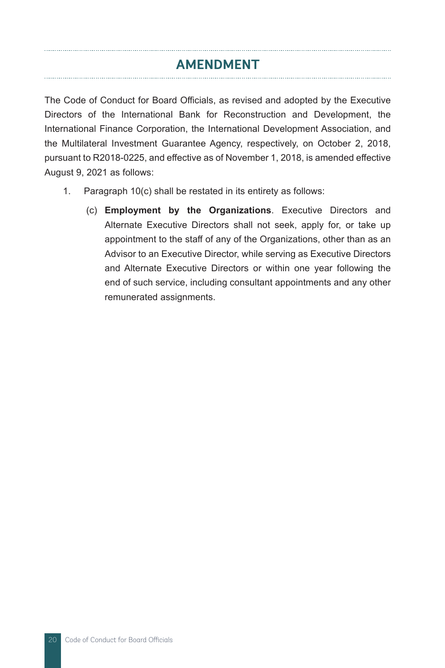## **AMENDMENT**

The Code of Conduct for Board Officials, as revised and adopted by the Executive Directors of the International Bank for Reconstruction and Development, the International Finance Corporation, the International Development Association, and the Multilateral Investment Guarantee Agency, respectively, on October 2, 2018, pursuant to R2018-0225, and effective as of November 1, 2018, is amended effective August 9, 2021 as follows:

- 1. Paragraph 10(c) shall be restated in its entirety as follows:
	- (c) **Employment by the Organizations**. Executive Directors and Alternate Executive Directors shall not seek, apply for, or take up appointment to the staff of any of the Organizations, other than as an Advisor to an Executive Director, while serving as Executive Directors and Alternate Executive Directors or within one year following the end of such service, including consultant appointments and any other remunerated assignments.